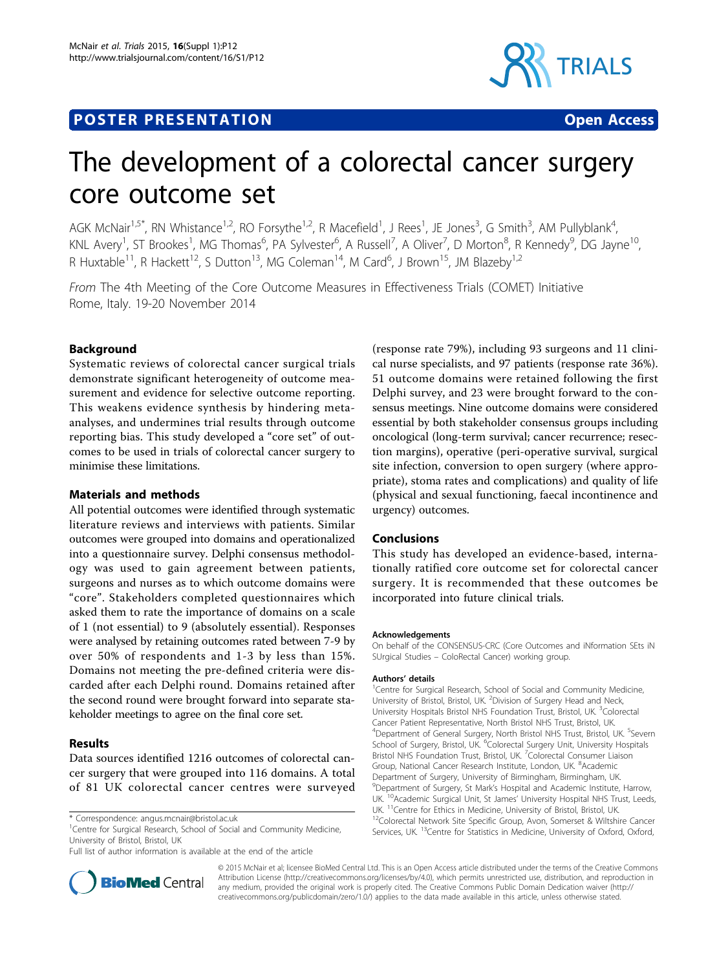# **POSTER PRESENTATION CONSUMING ACCESS**



# The development of a colorectal cancer surgery core outcome set

AGK McNair<sup>1,5\*</sup>, RN Whistance<sup>1,2</sup>, RO Forsythe<sup>1,2</sup>, R Macefield<sup>1</sup>, J Rees<sup>1</sup>, JE Jones<sup>3</sup>, G Smith<sup>3</sup>, AM Pullyblank<sup>4</sup> , KNL Avery<sup>1</sup>, ST Brookes<sup>1</sup>, MG Thomas<sup>6</sup>, PA Sylvester<sup>6</sup>, A Russell<sup>7</sup>, A Oliver<sup>7</sup>, D Morton<sup>8</sup>, R Kennedy<sup>9</sup>, DG Jayne<sup>10</sup>, R Huxtable<sup>11</sup>, R Hackett<sup>12</sup>, S Dutton<sup>13</sup>, MG Coleman<sup>14</sup>, M Card<sup>6</sup>, J Brown<sup>15</sup>, JM Blazeby<sup>1,2</sup>

From The 4th Meeting of the Core Outcome Measures in Effectiveness Trials (COMET) Initiative Rome, Italy. 19-20 November 2014

## **Background**

Systematic reviews of colorectal cancer surgical trials demonstrate significant heterogeneity of outcome measurement and evidence for selective outcome reporting. This weakens evidence synthesis by hindering metaanalyses, and undermines trial results through outcome reporting bias. This study developed a "core set" of outcomes to be used in trials of colorectal cancer surgery to minimise these limitations.

## Materials and methods

All potential outcomes were identified through systematic literature reviews and interviews with patients. Similar outcomes were grouped into domains and operationalized into a questionnaire survey. Delphi consensus methodology was used to gain agreement between patients, surgeons and nurses as to which outcome domains were "core". Stakeholders completed questionnaires which asked them to rate the importance of domains on a scale of 1 (not essential) to 9 (absolutely essential). Responses were analysed by retaining outcomes rated between 7-9 by over 50% of respondents and 1-3 by less than 15%. Domains not meeting the pre-defined criteria were discarded after each Delphi round. Domains retained after the second round were brought forward into separate stakeholder meetings to agree on the final core set.

#### Results

Data sources identified 1216 outcomes of colorectal cancer surgery that were grouped into 116 domains. A total of 81 UK colorectal cancer centres were surveyed

<sup>1</sup>Centre for Surgical Research, School of Social and Community Medicine, University of Bristol, Bristol, UK

Full list of author information is available at the end of the article



(response rate 79%), including 93 surgeons and 11 clinical nurse specialists, and 97 patients (response rate 36%). 51 outcome domains were retained following the first Delphi survey, and 23 were brought forward to the consensus meetings. Nine outcome domains were considered essential by both stakeholder consensus groups including oncological (long-term survival; cancer recurrence; resection margins), operative (peri-operative survival, surgical site infection, conversion to open surgery (where appropriate), stoma rates and complications) and quality of life (physical and sexual functioning, faecal incontinence and urgency) outcomes.

#### Conclusions

This study has developed an evidence-based, internationally ratified core outcome set for colorectal cancer surgery. It is recommended that these outcomes be incorporated into future clinical trials.

#### Acknowledgements

On behalf of the CONSENSUS-CRC (Core Outcomes and iNformation SEts iN SUrgical Studies – ColoRectal Cancer) working group.

#### Authors' details <sup>1</sup>

<sup>1</sup> Centre for Surgical Research, School of Social and Community Medicine, University of Bristol, Bristol, UK. <sup>2</sup> Division of Surgery Head and Neck, University Hospitals Bristol NHS Foundation Trust, Bristol, UK. <sup>3</sup>Colorectal Cancer Patient Representative, North Bristol NHS Trust, Bristol, UK. <sup>4</sup>Department of General Surgery, North Bristol NHS Trust, Bristol, UK. <sup>5</sup>Severn School of Surgery, Bristol, UK. <sup>6</sup>Colorectal Surgery Unit, University Hospitals Bristol NHS Foundation Trust, Bristol, UK. <sup>7</sup>Colorectal Consumer Liaison Group, National Cancer Research Institute, London, UK. <sup>8</sup>Academic Department of Surgery, University of Birmingham, Birmingham, UK. <sup>9</sup> Department of Surgery, St Mark's Hospital and Academic Institute, Harrow, UK. <sup>10</sup>Academic Surgical Unit, St James' University Hospital NHS Trust, Leeds, UK. <sup>11</sup>Centre for Ethics in Medicine, University of Bristol, Bristol, UK.<br><sup>12</sup>Colorectal Network Site Specific Group, Avon, Somerset & Wiltshire Cancer Services, UK.<sup>13</sup>Centre for Statistics in Medicine, University of Oxford, Oxford,

© 2015 McNair et al; licensee BioMed Central Ltd. This is an Open Access article distributed under the terms of the Creative Commons Attribution License [\(http://creativecommons.org/licenses/by/4.0](http://creativecommons.org/licenses/by/4.0)), which permits unrestricted use, distribution, and reproduction in any medium, provided the original work is properly cited. The Creative Commons Public Domain Dedication waiver [\(http://](http://creativecommons.org/publicdomain/zero/1.0/) [creativecommons.org/publicdomain/zero/1.0/](http://creativecommons.org/publicdomain/zero/1.0/)) applies to the data made available in this article, unless otherwise stated.

<sup>\*</sup> Correspondence: [angus.mcnair@bristol.ac.uk](mailto:angus.mcnair@bristol.ac.uk)